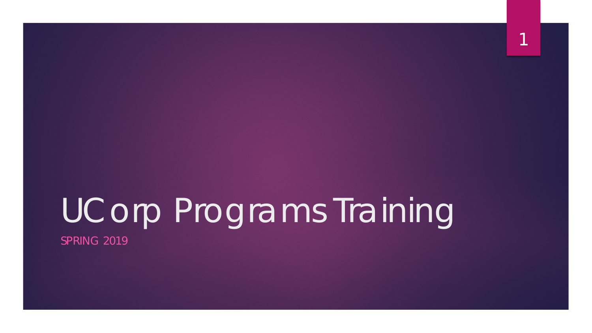# UCorp Programs Training

1

SPRING 2019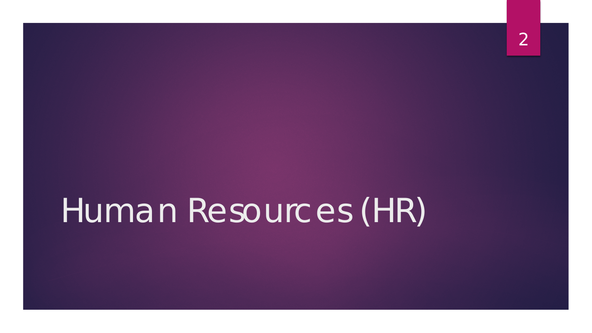## Human Resources (HR)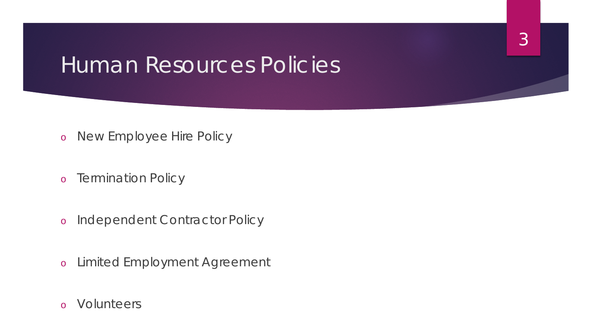### Human Resources Policies

3

- o New Employee Hire Policy
- o Termination Policy
- o Independent Contractor Policy
- o Limited Employment Agreement
- o Volunteers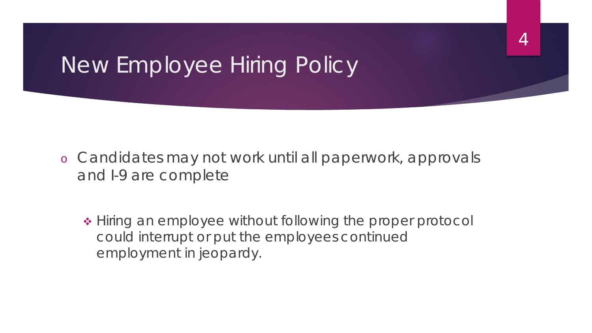### New Employee Hiring Policy

o Candidates may not work until all paperwork, approvals and I-9 are complete

4

• Hiring an employee without following the proper protocol could interrupt or put the employees continued employment in jeopardy.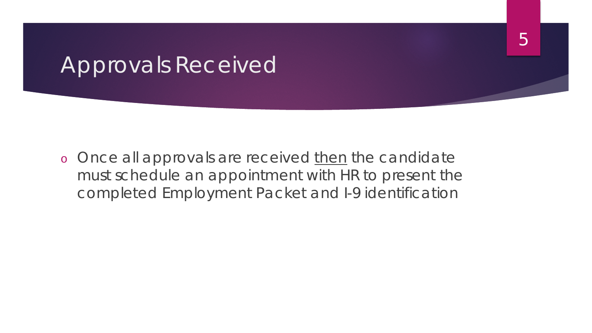### Approvals Received

o Once all approvals are received then the candidate must schedule an appointment with HR to present the completed Employment Packet and I-9 identification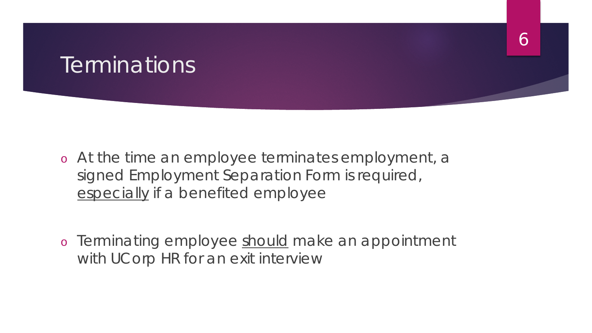### **Terminations**

- o At the time an employee terminates employment, a signed Employment Separation Form is required, especially if a benefited employee
- o Terminating employee should make an appointment with UCorp HR for an exit interview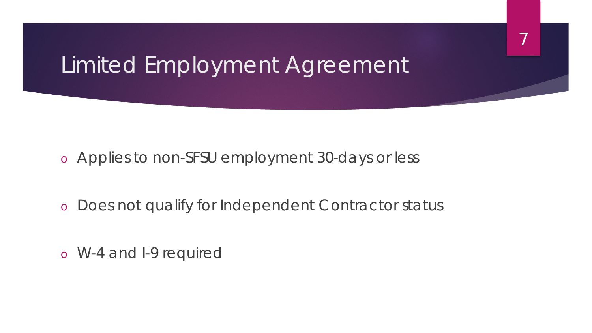### Limited Employment Agreement

7

o Applies to non-SFSU employment 30-days or less

o Does not qualify for Independent Contractor status

o W-4 and I-9 required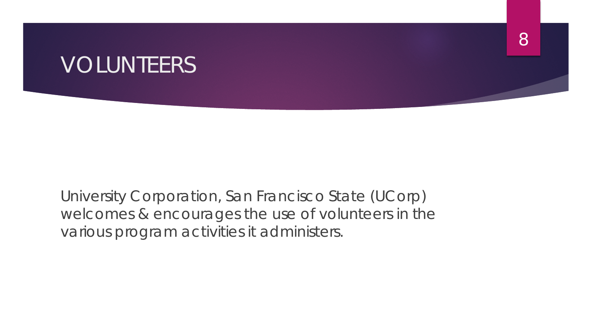### VOLUNTEERS

University Corporation, San Francisco State (UCorp) welcomes & encourages the use of volunteers in the various program activities it administers.

8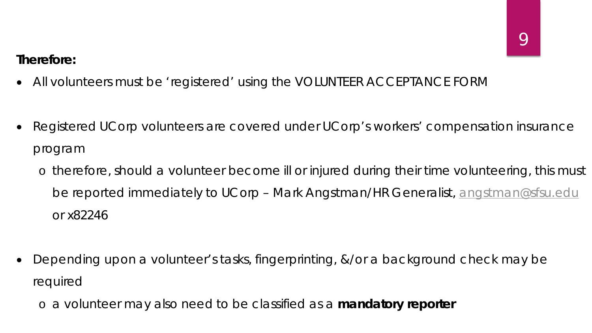#### *Therefore:*

- All volunteers must be 'registered' using the VOLUNTEER ACCEPTANCE FORM
- Registered UCorp volunteers are covered under UCorp's workers' compensation insurance program
	- o therefore, should a volunteer become ill or injured during their time volunteering, this must be reported immediately to UCorp – Mark Angstman/HR Generalist, [angstman@sfsu.edu](mailto:angstman@sfsu.edu) or x82246
- Depending upon a volunteer's tasks, fingerprinting, &/or a background check may be required
	- o a volunteer may also need to be classified as a *mandatory reporter*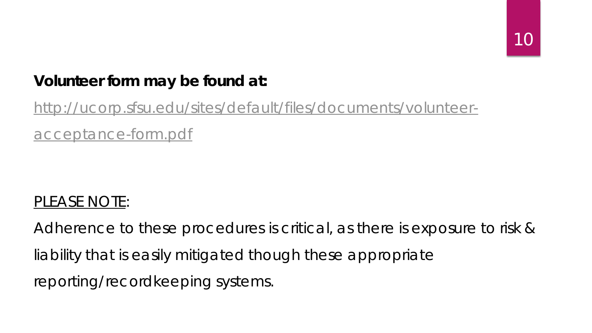#### **Volunteer form may be found at:**

### [http://ucorp.sfsu.edu/sites/default/files/documents/volunteer](http://ucorp.sfsu.edu/sites/default/files/documents/volunteer-acceptance-form.pdf)acceptance-form.pdf

#### PLEASE NOTE:

Adherence to these procedures is critical, as there is exposure to risk & liability that is easily mitigated though these appropriate reporting/recordkeeping systems.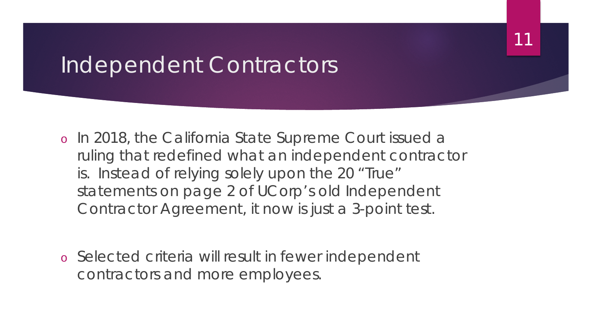### Independent Contractors

- o In 2018, the California State Supreme Court issued a ruling that redefined what an independent contractor is. Instead of relying solely upon the 20 "True" statements on page 2 of UCorp's old Independent Contractor Agreement, it now is just a 3-point test.
- o Selected criteria will result in fewer independent contractors and more employees.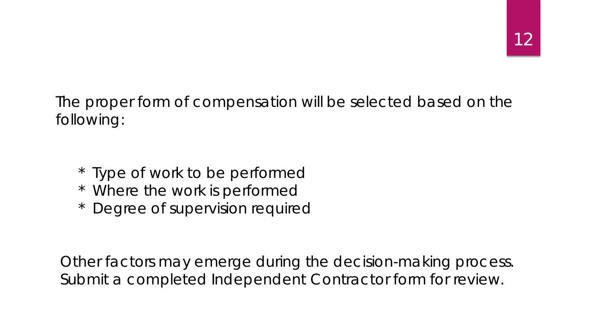The proper form of compensation will be selected based on the following:

- \* Type of work to be performed
- \* Where the work is performed
- \* Degree of supervision required

Other factors may emerge during the decision-making process. Submit a completed Independent Contractor form for review.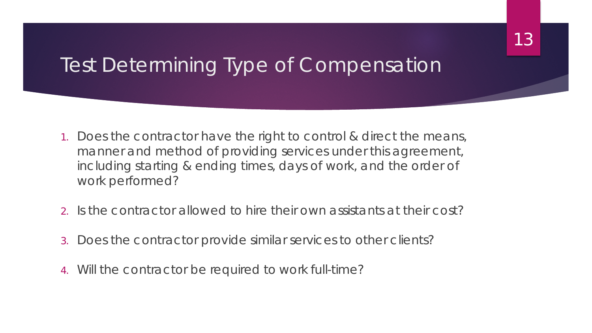### Test Determining Type of Compensation

- 1. Does the contractor have the right to control & direct the means, manner and method of providing services under this agreement, including starting & ending times, days of work, and the order of work performed?
- 2. Is the contractor allowed to hire their own assistants at their cost?
- 3. Does the contractor provide similar services to other clients?
- 4. Will the contractor be required to work full-time?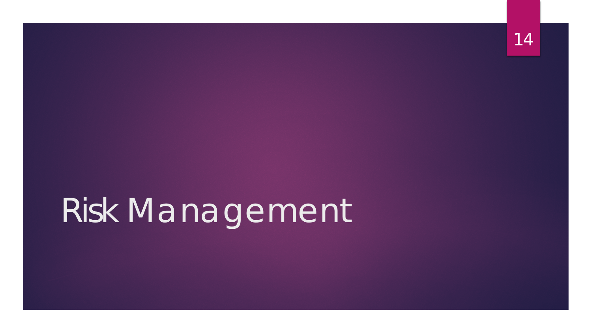# Risk Management

14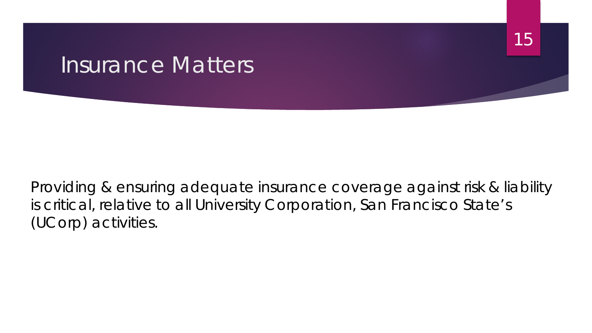### Insurance Matters

Providing & ensuring adequate insurance coverage against risk & liability is critical, relative to all University Corporation, San Francisco State's (UCorp) activities.

15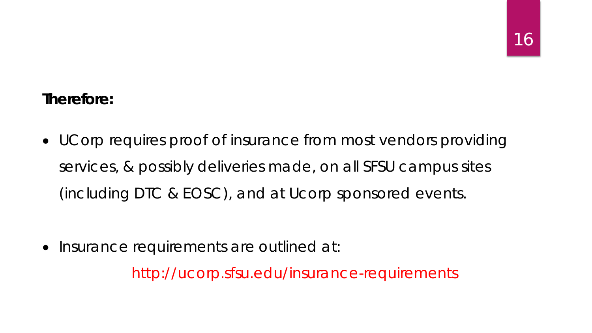#### *Therefore:*

• UCorp requires proof of insurance from most vendors providing services, & possibly deliveries made, on all SFSU campus sites (including DTC & EOSC), and at Ucorp sponsored events.

• Insurance requirements are outlined at:

http://ucorp.sfsu.edu/insurance-requirements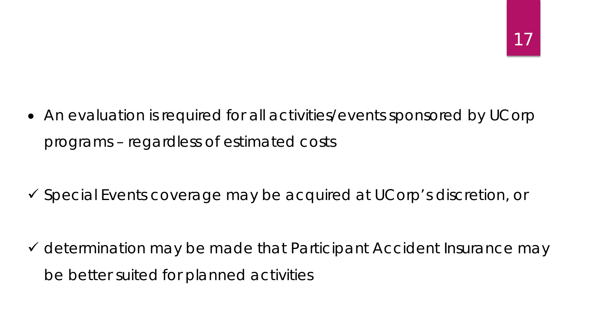• An evaluation is required for all activities/events sponsored by UCorp programs – regardless of estimated costs

Special Events coverage may be acquired at UCorp's discretion, or

 $\checkmark$  determination may be made that Participant Accident Insurance may be better suited for planned activities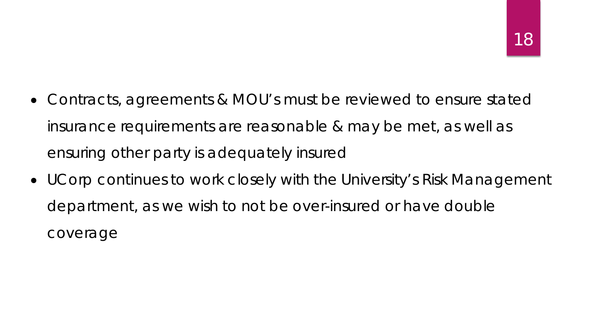- Contracts, agreements & MOU's must be reviewed to ensure stated insurance requirements are reasonable & may be met, as well as ensuring other party is adequately insured
- UCorp continues to work closely with the University's Risk Management department, as we wish to not be over-insured or have double coverage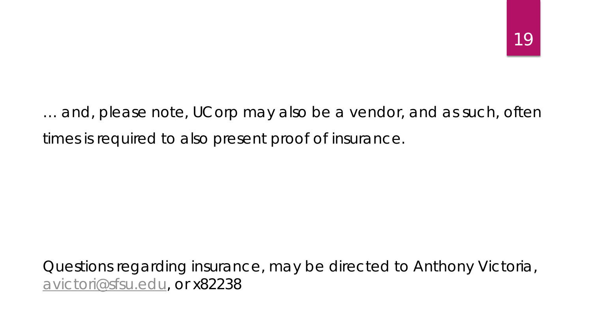… and, please note, UCorp may also be a vendor, and as such, often times is required to also present proof of insurance.

#### Questions regarding insurance, may be directed to Anthony Victoria, [avictori@sfsu.edu](mailto:avictori@sfsu.edu), or x82238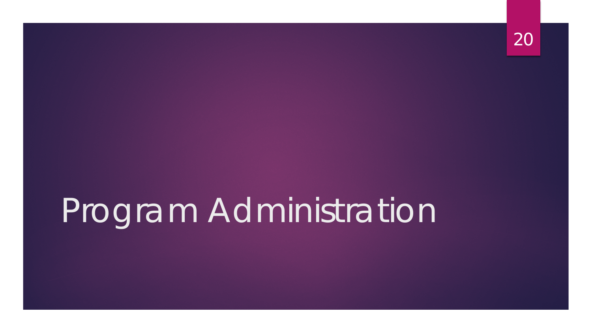# Program Administration

20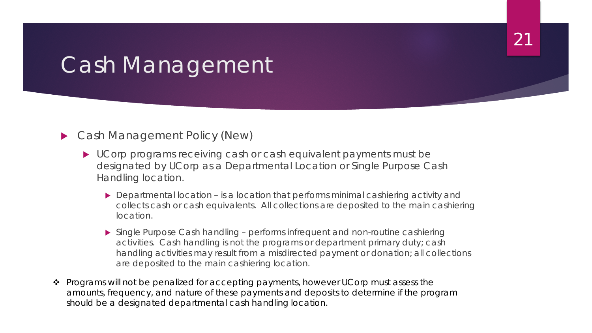### Cash Management

#### ▶ Cash Management Policy (New)

- UCorp programs receiving cash or cash equivalent payments must be designated by UCorp as a Departmental Location or Single Purpose Cash Handling location.
	- ▶ Departmental location is a location that performs minimal cashiering activity and collects cash or cash equivalents. All collections are deposited to the main cashiering location.

21

- Single Purpose Cash handling performs infrequent and non-routine cashiering activities. Cash handling is not the programs or department primary duty; cash handling activities may result from a misdirected payment or donation; all collections are deposited to the main cashiering location.
- Programs will not be penalized for accepting payments, however UCorp must assess the amounts, frequency, and nature of these payments and deposits to determine if the program should be a designated departmental cash handling location.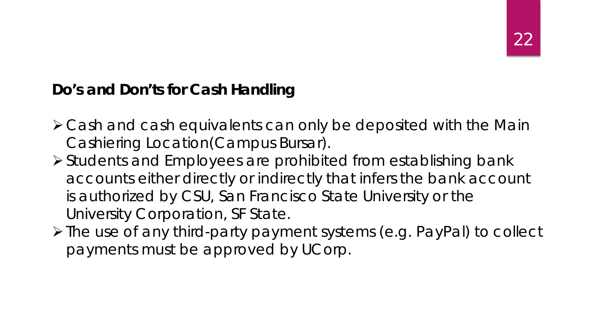#### **Do's and Don'ts for Cash Handling**

- Cash and cash equivalents can only be deposited with the Main Cashiering Location(Campus Bursar).
- Students and Employees are prohibited from establishing bank accounts either directly or indirectly that infers the bank account is authorized by CSU, San Francisco State University or the University Corporation, SF State.
- The use of any third-party payment systems (e.g. PayPal) to collect payments must be approved by UCorp.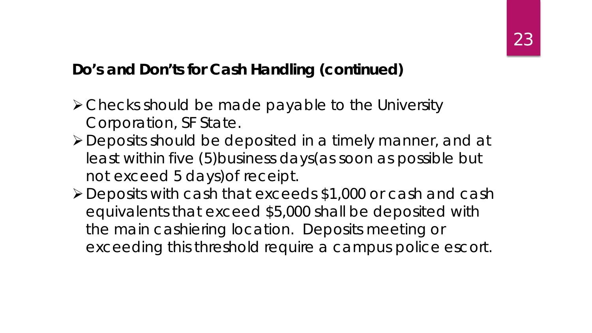#### **Do's and Don'ts for Cash Handling (continued)**

- Checks should be made payable to the University Corporation, SF State.
- Deposits should be deposited in a timely manner, and at least within five (5)business days(as soon as possible but not exceed 5 days)of receipt.
- Deposits with cash that exceeds \$1,000 or cash and cash equivalents that exceed \$5,000 shall be deposited with the main cashiering location. Deposits meeting or exceeding this threshold require a campus police escort.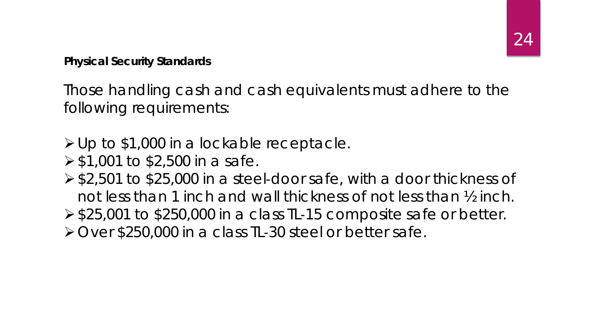**Physical Security Standards**

Those handling cash and cash equivalents must adhere to the following requirements:

Up to \$1,000 in a lockable receptacle.

- $\geq$  \$1,001 to \$2,500 in a safe.
- \$2,501 to \$25,000 in a steel‐door safe, with a door thickness of not less than 1 inch and wall thickness of not less than ½ inch.  $\ge$  \$25,001 to \$250,000 in a class TL-15 composite safe or better. Over \$250,000 in a class TL‐30 steel or better safe.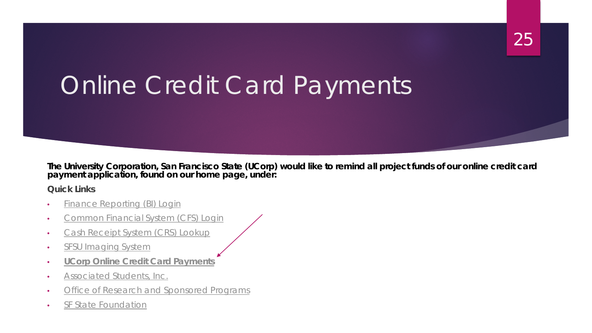# Online Credit Card Payments

**The University Corporation, San Francisco State (UCorp) would like to remind all project funds of our online credit card payment application, found on our home page, under:**

25

**Quick Links**

- [Finance Reporting \(BI\) Login](http://bi.sfsu.edu/analytics/)
- [Common Financial System \(CFS\) Login](https://ds.calstate.edu/?svc=cfs)
- [Cash Receipt System \(CRS\) Lookup](https://ids.sfsu.edu/crsweblookup/index.jsp)
- [SFSU Imaging System](http://sfsu.documentportal.com/)
- **UCorp [Online Credit Card Payments](https://commerce.cashnet.com/ucorp)**
- [Associated Students, Inc.](http://asi.sfsu.edu/)
- [Office of Research and Sponsored Programs](http://research.sfsu.edu/)
- [SF State Foundation](http://sfsufdn.sfsu.edu/)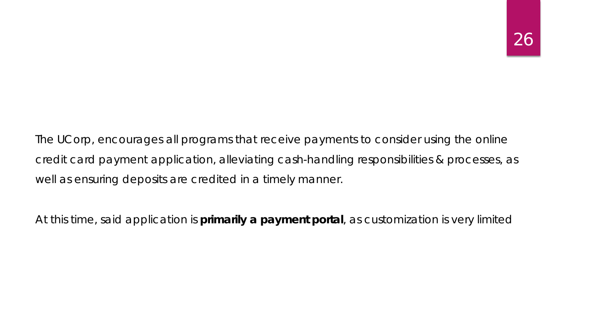The UCorp, encourages all programs that receive payments to consider using the online credit card payment application, alleviating cash-handling responsibilities & processes, as well as ensuring deposits are credited in a timely manner.

At this time, said application is **primarily a payment portal**, as customization is very limited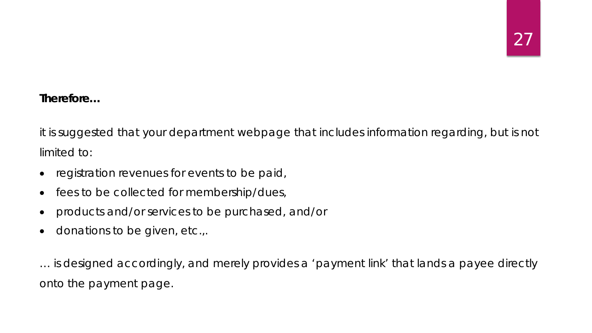#### *Therefore…*

it is suggested that your department webpage that includes information regarding, but is not limited to:

- registration revenues for events to be paid,
- fees to be collected for membership/dues,
- products and/or services to be purchased, and/or
- donations to be given, etc.,.

… is designed accordingly, and merely provides a 'payment link' that lands a payee directly onto the payment page.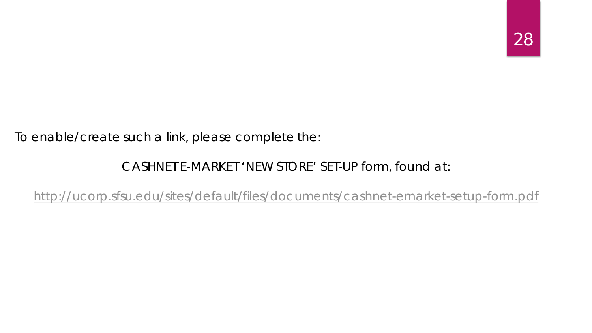#### To enable/create such a link, please complete the:

#### CASHNET E-MARKET 'NEW STORE' SET-UP form, found at:

<http://ucorp.sfsu.edu/sites/default/files/documents/cashnet-emarket-setup-form.pdf>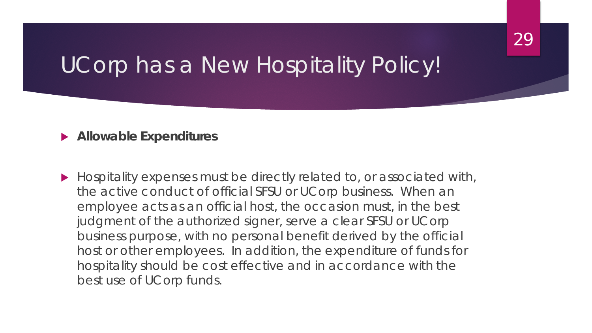### UCorp has a New Hospitality Policy!

#### **Allowable Expenditures**

 *Hospitality expenses must be directly related to, or associated with, the active conduct of official SFSU or UCorp business. When an employee acts as an official host, the occasion must, in the best judgment of the authorized signer, serve a clear SFSU or UCorp business purpose, with no personal benefit derived by the official host or other employees. In addition, the expenditure of funds for hospitality should be cost effective and in accordance with the best use of UCorp funds.*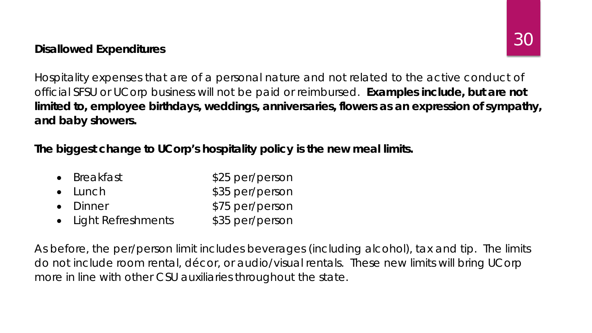#### **Disallowed Expenditures**

*Hospitality expenses that are of a personal nature and not related to the active conduct of official SFSU or UCorp business will not be paid or reimbursed. Examples include, but are not limited to, employee birthdays, weddings, anniversaries, flowers as an expression of sympathy, and baby showers.*

**The biggest change to UCorp's hospitality policy is the new meal limits.** 

- Breakfast **\$25 per/person** • Lunch \$35 per/person
- Dinner **\$75 per/person**
- Light Refreshments \$35 per/person

As before, the per/person limit includes beverages (including alcohol), tax and tip. The limits do not include room rental, décor, or audio/visual rentals. These new limits will bring UCorp more in line with other CSU auxiliaries throughout the state.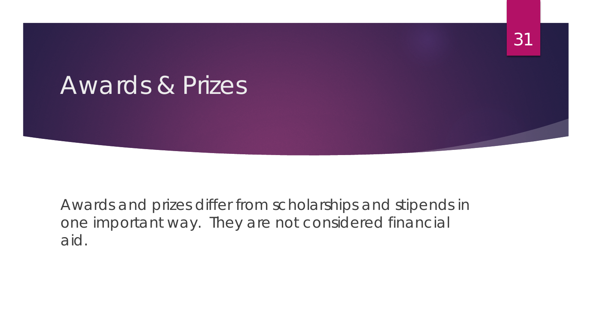### Awards & Prizes

Awards and prizes differ from scholarships and stipends in one important way. They are not considered financial aid.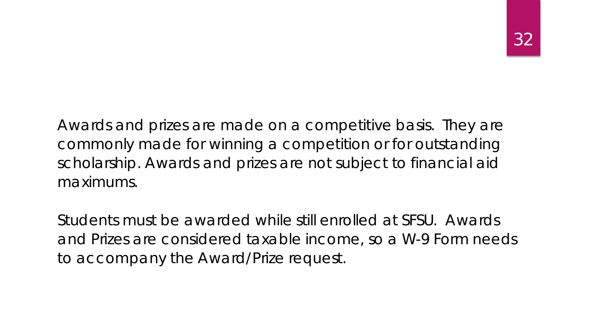Awards and prizes are made on a competitive basis. They are commonly made for winning a competition or for outstanding scholarship. Awards and prizes are not subject to financial aid maximums.

Students must be awarded while still enrolled at SFSU. Awards and Prizes are considered taxable income, so a W-9 Form needs to accompany the Award/Prize request.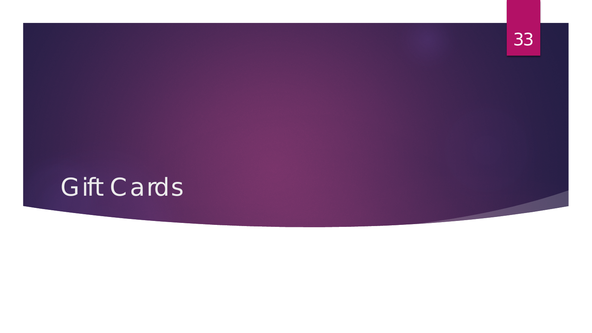

### 33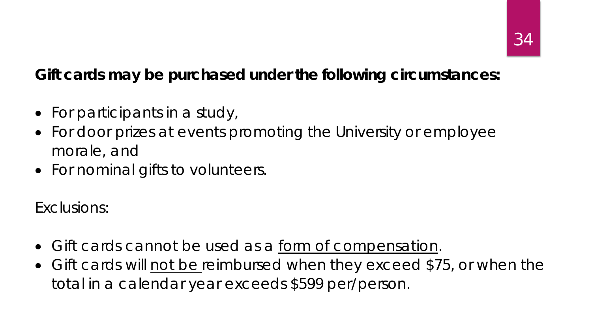#### **Gift cards may be purchased under the following circumstances:**

- For participants in a study,
- For door prizes at events promoting the University or employee morale, and
- For nominal gifts to volunteers.

Exclusions:

- Gift cards cannot be used as a form of compensation.
- Gift cards will not be reimbursed when they exceed \$75, or when the total in a calendar year exceeds \$599 per/person.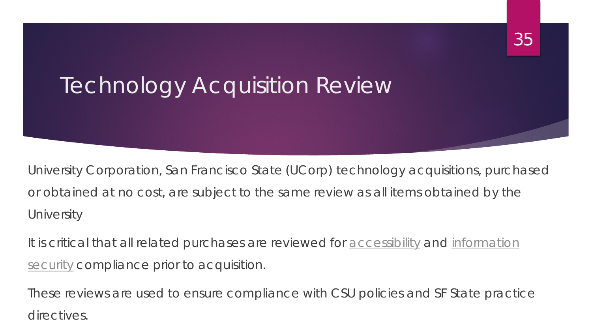# Technology Acquisition Review 35

University Corporation, San Francisco State (UCorp) technology acquisitions, purchased or obtained at no cost, are subject to the same review as all items obtained by the **University** 

It is critical that all related purchases are reviewed for **accessibility** and information security compliance prior to acquisition.

These reviews are used to ensure compliance with CSU policies and SF State practice directives.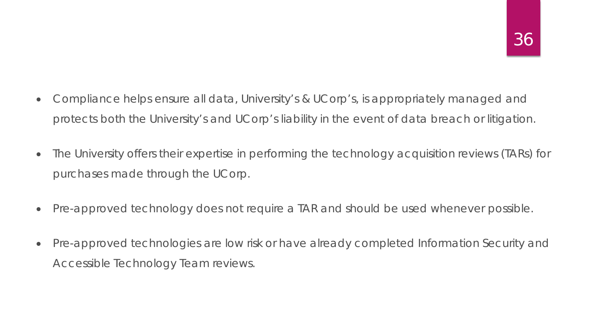- Compliance helps ensure all data, University's & UCorp's, is appropriately managed and protects both the University's and UCorp's liability in the event of data breach or litigation.
- The University offers their expertise in performing the technology acquisition reviews (TARs) for purchases made through the UCorp.
- Pre-approved technology does not require a TAR and should be used whenever possible.
- Pre-approved technologies are low risk or have already completed Information Security and Accessible Technology Team reviews.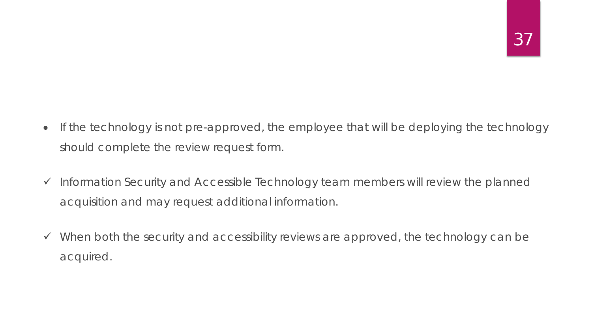- If the technology is not pre-approved, the employee that will be deploying the technology should complete the review request form.
- $\checkmark$  Information Security and Accessible Technology team members will review the planned acquisition and may request additional information.
- $\checkmark$  When both the security and accessibility reviews are approved, the technology can be acquired.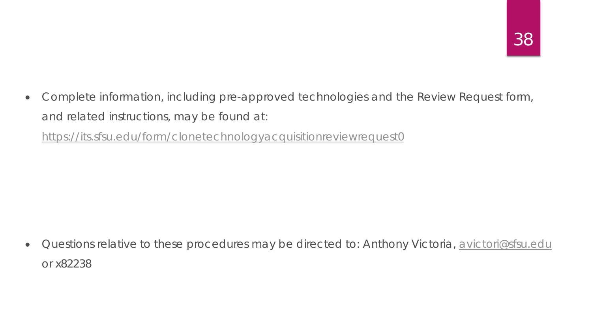• Complete information, including pre-approved technologies and the Review Request form, and related instructions, may be found at:

<https://its.sfsu.edu/form/clonetechnologyacquisitionreviewrequest0>

• Questions relative to these procedures may be directed to: Anthony Victoria, [avictori@sfsu.edu](mailto:avictori@sfsu.edu) or x82238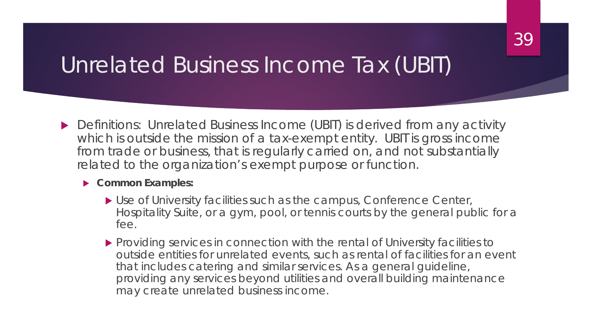### Unrelated Business Income Tax (UBIT)

▶ Definitions: Unrelated Business Income (UBIT) is derived from any activity which is outside the mission of a tax-exempt entity. UBIT is gross income from trade or business, that is regularly carried on, and not substantially related to the organization's exempt purpose or function.

#### **Common Examples:**

- Use of University facilities such as the campus, Conference Center, Hospitality Suite, or a gym, pool, or tennis courts by the general public for a fee.
- **Providing services in connection with the rental of University facilities to** outside entities for unrelated events, such as rental of facilities for an event that includes catering and similar services. As a general guideline, providing any services beyond utilities and overall building maintenance may create unrelated business income.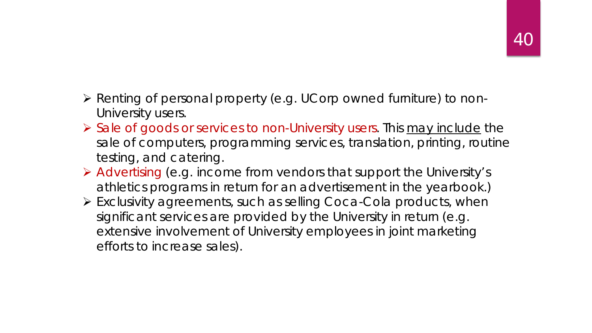- Renting of personal property (e.g. UCorp owned furniture) to non-University users.
- $\triangleright$  Sale of goods or services to non-University users. This may include the sale of computers, programming services, translation, printing, routine testing, and catering.
- Advertising (e.g. income from vendors that support the University's athletics programs in return for an advertisement in the yearbook.)
- Exclusivity agreements, such as selling Coca-Cola products, when significant services are provided by the University in return (e.g. extensive involvement of University employees in joint marketing efforts to increase sales).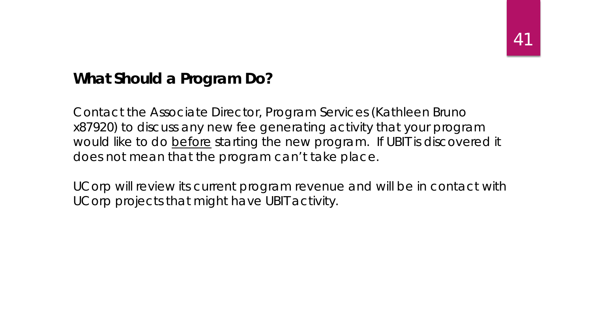#### **What Should a Program Do?**

Contact the Associate Director, Program Services (Kathleen Bruno x87920) to discuss any new fee generating activity that your program would like to do before starting the new program. If UBIT is discovered it does not mean that the program can't take place.

UCorp will review its current program revenue and will be in contact with UCorp projects that might have UBIT activity.